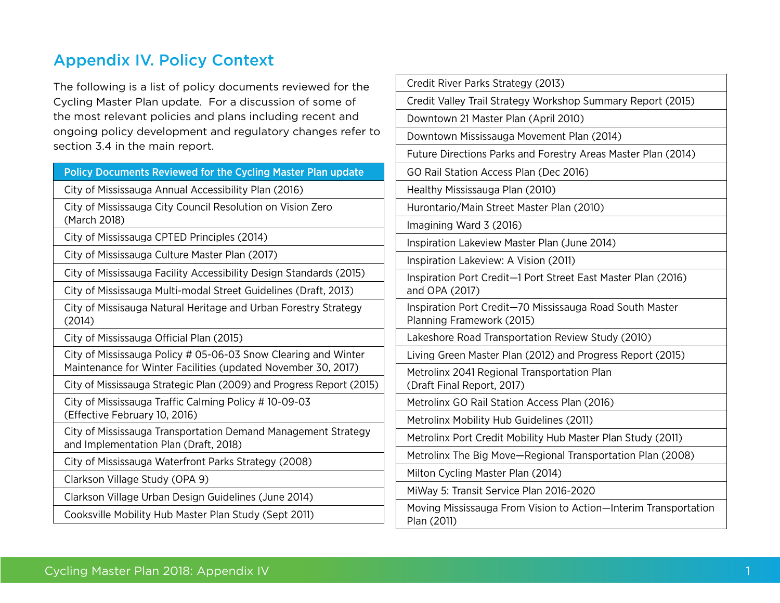## Appendix IV. Policy Context

The following is a list of policy documents reviewed for the Cycling Master Plan update. For a discussion of some of the most relevant policies and plans including recent and ongoing policy development and regulatory changes refer to section 3.4 in the main report.

| Policy Documents Reviewed for the Cycling Master Plan update                                                                    | GC                         |
|---------------------------------------------------------------------------------------------------------------------------------|----------------------------|
| City of Mississauga Annual Accessibility Plan (2016)                                                                            | He                         |
| City of Mississauga City Council Resolution on Vision Zero<br>(March 2018)                                                      | Ηu<br>Im                   |
| City of Mississauga CPTED Principles (2014)                                                                                     | Ins                        |
| City of Mississauga Culture Master Plan (2017)                                                                                  | lns                        |
| City of Mississauga Facility Accessibility Design Standards (2015)                                                              | lns                        |
| City of Mississauga Multi-modal Street Guidelines (Draft, 2013)                                                                 | an                         |
| City of Missisauga Natural Heritage and Urban Forestry Strategy<br>(2014)                                                       | lns<br>Pla                 |
| City of Mississauga Official Plan (2015)                                                                                        | La                         |
| City of Mississauga Policy # 05-06-03 Snow Clearing and Winter<br>Maintenance for Winter Facilities (updated November 30, 2017) | Li<br>Me                   |
| City of Mississauga Strategic Plan (2009) and Progress Report (2015)                                                            | (D                         |
| City of Mississauga Traffic Calming Policy #10-09-03<br>(Effective February 10, 2016)                                           | Me                         |
| City of Mississauga Transportation Demand Management Strategy<br>and Implementation Plan (Draft, 2018)                          | $M\epsilon$<br>$M\epsilon$ |
| City of Mississauga Waterfront Parks Strategy (2008)                                                                            | Mε                         |
| Clarkson Village Study (OPA 9)                                                                                                  | Mi                         |
| Clarkson Village Urban Design Guidelines (June 2014)                                                                            | Mi                         |
| Cooksville Mobility Hub Master Plan Study (Sept 2011)                                                                           | Mo<br>-וח                  |

| Credit River Parks Strategy (2013)                                                    |
|---------------------------------------------------------------------------------------|
| Credit Valley Trail Strategy Workshop Summary Report (2015)                           |
| Downtown 21 Master Plan (April 2010)                                                  |
| Downtown Mississauga Movement Plan (2014)                                             |
| Future Directions Parks and Forestry Areas Master Plan (2014)                         |
| GO Rail Station Access Plan (Dec 2016)                                                |
| Healthy Mississauga Plan (2010)                                                       |
| Hurontario/Main Street Master Plan (2010)                                             |
| Imagining Ward 3 (2016)                                                               |
| Inspiration Lakeview Master Plan (June 2014)                                          |
| Inspiration Lakeview: A Vision (2011)                                                 |
| Inspiration Port Credit-1 Port Street East Master Plan (2016)<br>and OPA (2017)       |
| Inspiration Port Credit-70 Mississauga Road South Master<br>Planning Framework (2015) |
| Lakeshore Road Transportation Review Study (2010)                                     |
| Living Green Master Plan (2012) and Progress Report (2015)                            |
| Metrolinx 2041 Regional Transportation Plan<br>(Draft Final Report, 2017)             |
| Metrolinx GO Rail Station Access Plan (2016)                                          |
| Metrolinx Mobility Hub Guidelines (2011)                                              |
| Metrolinx Port Credit Mobility Hub Master Plan Study (2011)                           |
| Metrolinx The Big Move-Regional Transportation Plan (2008)                            |
| Milton Cycling Master Plan (2014)                                                     |
| MiWay 5: Transit Service Plan 2016-2020                                               |
| Moving Mississauga From Vision to Action-Interim Transportation<br>Plan (2011)        |